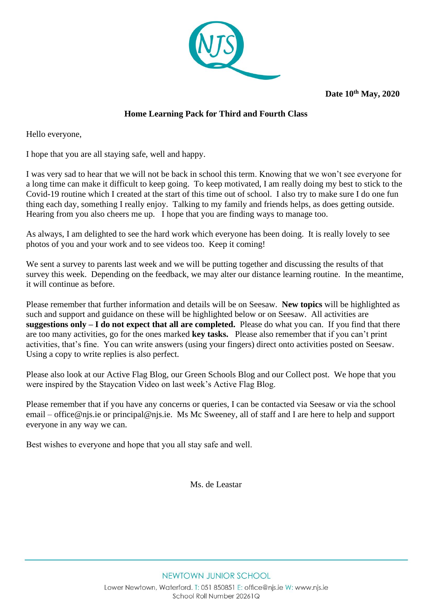

**Date 10th May, 2020** 

# **Home Learning Pack for Third and Fourth Class**

Hello everyone,

I hope that you are all staying safe, well and happy.

I was very sad to hear that we will not be back in school this term. Knowing that we won't see everyone for a long time can make it difficult to keep going. To keep motivated, I am really doing my best to stick to the Covid-19 routine which I created at the start of this time out of school. I also try to make sure I do one fun thing each day, something I really enjoy. Talking to my family and friends helps, as does getting outside. Hearing from you also cheers me up. I hope that you are finding ways to manage too.

As always, I am delighted to see the hard work which everyone has been doing. It is really lovely to see photos of you and your work and to see videos too. Keep it coming!

We sent a survey to parents last week and we will be putting together and discussing the results of that survey this week. Depending on the feedback, we may alter our distance learning routine. In the meantime, it will continue as before.

Please remember that further information and details will be on Seesaw. **New topics** will be highlighted as such and support and guidance on these will be highlighted below or on Seesaw. All activities are **suggestions only – I do not expect that all are completed.** Please do what you can. If you find that there are too many activities, go for the ones marked **key tasks.** Please also remember that if you can't print activities, that's fine. You can write answers (using your fingers) direct onto activities posted on Seesaw. Using a copy to write replies is also perfect.

Please also look at our Active Flag Blog, our Green Schools Blog and our Collect post. We hope that you were inspired by the Staycation Video on last week's Active Flag Blog.

Please remember that if you have any concerns or queries, I can be contacted via Seesaw or via the school email – [office@njs.ie](mailto:office@njs.ie) or [principal@njs.ie.](mailto:principal@njs.ie) Ms Mc Sweeney, all of staff and I are here to help and support everyone in any way we can.

Best wishes to everyone and hope that you all stay safe and well.  

Ms. de Leastar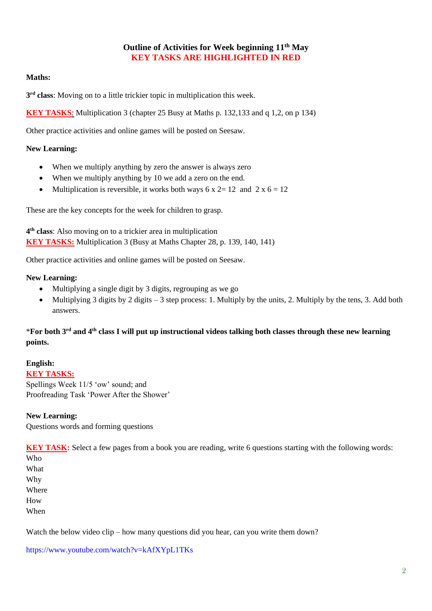# **Outline of Activities for Week beginning 11th May KEY TASKS ARE HIGHLIGHTED IN RED**

### **Maths:**

**3 rd class**: Moving on to a little trickier topic in multiplication this week.

**KEY TASKS**: Multiplication 3 (chapter 25 Busy at Maths p. 132,133 and q 1,2, on p 134)

Other practice activities and online games will be posted on Seesaw.

#### **New Learning:**

- When we multiply anything by zero the answer is always zero
- When we multiply anything by 10 we add a zero on the end.
- Multiplication is reversible, it works both ways  $6 \times 2 = 12$  and  $2 \times 6 = 12$

These are the key concepts for the week for children to grasp.

**4 th class**: Also moving on to a trickier area in multiplication **KEY TASKS:** Multiplication 3 (Busy at Maths Chapter 28, p. 139, 140, 141)

Other practice activities and online games will be posted on Seesaw.

#### **New Learning:**

- Multiplying a single digit by 3 digits, regrouping as we go
- Multiplying 3 digits by 2 digits  $-3$  step process: 1. Multiply by the units, 2. Multiply by the tens, 3. Add both answers.

# \***For both 3rd and 4th class I will put up instructional videos talking both classes through these new learning points.**

### **English:**

**KEY TASKS:** Spellings Week 11/5 'ow' sound; and Proofreading Task 'Power After the Shower'

#### **New Learning:**

Questions words and forming questions

**KEY TASK:** Select a few pages from a book you are reading, write 6 questions starting with the following words:

Who What Why Where How When

Watch the below video clip – how many questions did you hear, can you write them down?

<https://www.youtube.com/watch?v=kAfXYpL1TKs>